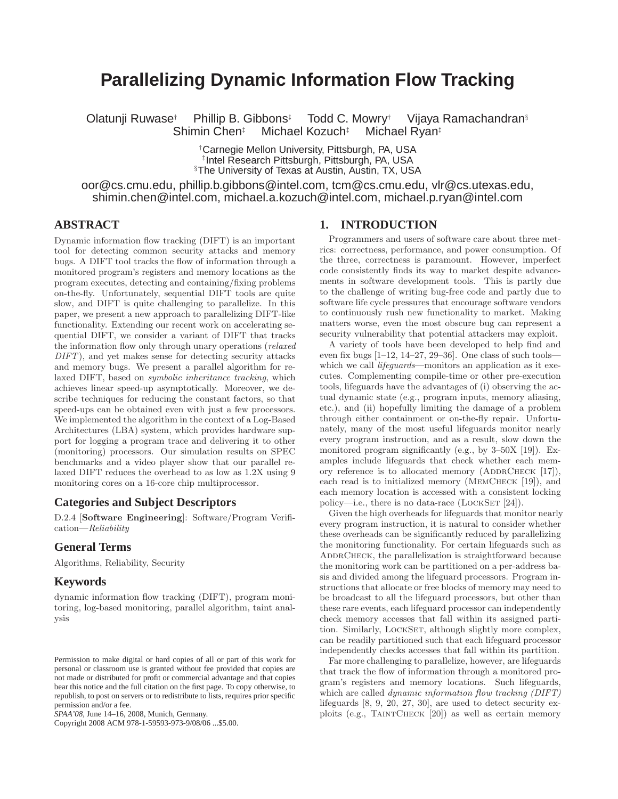# **Parallelizing Dynamic Information Flow Tracking**

Olatunji Ruwase† Phillip B. Gibbons‡ Todd C. Mowry† Vijaya Ramachandran§ Shimin Chen‡ Michael Kozuch‡ Michael Ryan‡

> †Carnegie Mellon University, Pittsburgh, PA, USA ‡ Intel Research Pittsburgh, Pittsburgh, PA, USA **<sup>§</sup>The University of Texas at Austin, Austin, TX, USA**

oor@cs.cmu.edu, phillip.b.gibbons@intel.com, tcm@cs.cmu.edu, vlr@cs.utexas.edu, shimin.chen@intel.com, michael.a.kozuch@intel.com, michael.p.ryan@intel.com

# **ABSTRACT**

Dynamic information flow tracking (DIFT) is an important tool for detecting common security attacks and memory bugs. A DIFT tool tracks the flow of information through a monitored program's registers and memory locations as the program executes, detecting and containing/fixing problems on-the-fly. Unfortunately, sequential DIFT tools are quite slow, and DIFT is quite challenging to parallelize. In this paper, we present a new approach to parallelizing DIFT-like functionality. Extending our recent work on accelerating sequential DIFT, we consider a variant of DIFT that tracks the information flow only through unary operations (relaxed DIFT), and yet makes sense for detecting security attacks and memory bugs. We present a parallel algorithm for relaxed DIFT, based on symbolic inheritance tracking, which achieves linear speed-up asymptotically. Moreover, we describe techniques for reducing the constant factors, so that speed-ups can be obtained even with just a few processors. We implemented the algorithm in the context of a Log-Based Architectures (LBA) system, which provides hardware support for logging a program trace and delivering it to other (monitoring) processors. Our simulation results on SPEC benchmarks and a video player show that our parallel relaxed DIFT reduces the overhead to as low as 1.2X using 9 monitoring cores on a 16-core chip multiprocessor.

#### **Categories and Subject Descriptors**

D.2.4 [Software Engineering]: Software/Program Verification—Reliability

#### **General Terms**

Algorithms, Reliability, Security

#### **Keywords**

dynamic information flow tracking (DIFT), program monitoring, log-based monitoring, parallel algorithm, taint analysis

Copyright 2008 ACM 978-1-59593-973-9/08/06 ...\$5.00.

#### **1. INTRODUCTION**

Programmers and users of software care about three metrics: correctness, performance, and power consumption. Of the three, correctness is paramount. However, imperfect code consistently finds its way to market despite advancements in software development tools. This is partly due to the challenge of writing bug-free code and partly due to software life cycle pressures that encourage software vendors to continuously rush new functionality to market. Making matters worse, even the most obscure bug can represent a security vulnerability that potential attackers may exploit.

A variety of tools have been developed to help find and even fix bugs [1–12, 14–27, 29–36]. One class of such tools which we call *lifeguards*—monitors an application as it executes. Complementing compile-time or other pre-execution tools, lifeguards have the advantages of (i) observing the actual dynamic state (e.g., program inputs, memory aliasing, etc.), and (ii) hopefully limiting the damage of a problem through either containment or on-the-fly repair. Unfortunately, many of the most useful lifeguards monitor nearly every program instruction, and as a result, slow down the monitored program significantly (e.g., by 3–50X [19]). Examples include lifeguards that check whether each memory reference is to allocated memory (ADDRCHECK  $[17]$ ), each read is to initialized memory (MemCheck [19]), and each memory location is accessed with a consistent locking policy—i.e., there is no data-race (LOCKSET  $[24]$ ).

Given the high overheads for lifeguards that monitor nearly every program instruction, it is natural to consider whether these overheads can be significantly reduced by parallelizing the monitoring functionality. For certain lifeguards such as ADDRCHECK, the parallelization is straightforward because the monitoring work can be partitioned on a per-address basis and divided among the lifeguard processors. Program instructions that allocate or free blocks of memory may need to be broadcast to all the lifeguard processors, but other than these rare events, each lifeguard processor can independently check memory accesses that fall within its assigned partition. Similarly, LOCKSET, although slightly more complex, can be readily partitioned such that each lifeguard processor independently checks accesses that fall within its partition.

Far more challenging to parallelize, however, are lifeguards that track the flow of information through a monitored program's registers and memory locations. Such lifeguards, which are called *dynamic information flow tracking (DIFT)* lifeguards [8, 9, 20, 27, 30], are used to detect security exploits (e.g., TaintCheck [20]) as well as certain memory

Permission to make digital or hard copies of all or part of this work for personal or classroom use is granted without fee provided that copies are not made or distributed for profit or commercial advantage and that copies bear this notice and the full citation on the first page. To copy otherwise, to republish, to post on servers or to redistribute to lists, requires prior specific permission and/or a fee.

*SPAA'08,* June 14–16, 2008, Munich, Germany.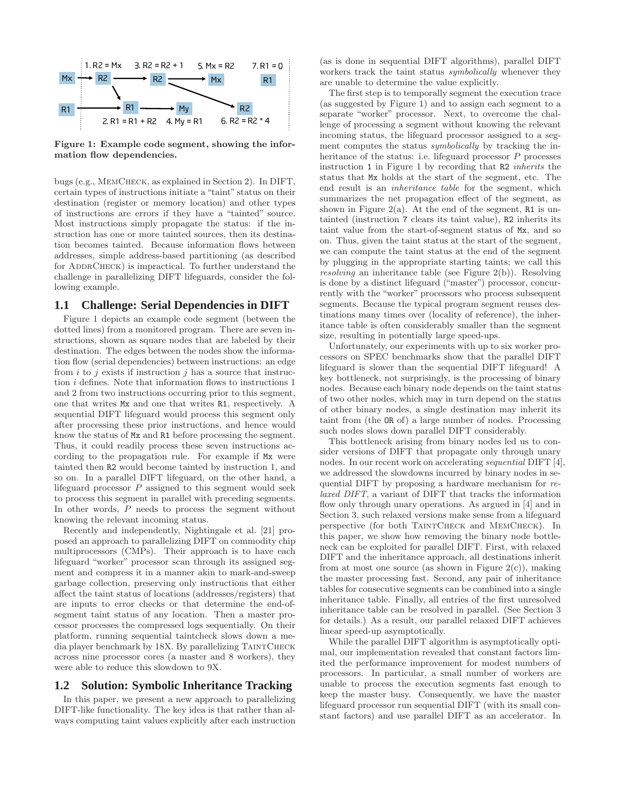

Figure 1: Example code segment, showing the information flow dependencies.

bugs (e.g., MemCheck, as explained in Section 2). In DIFT, certain types of instructions initiate a "taint" status on their destination (register or memory location) and other types of instructions are errors if they have a "tainted" source. Most instructions simply propagate the status: if the instruction has one or more tainted sources, then its destination becomes tainted. Because information flows between addresses, simple address-based partitioning (as described for ADDRCHECK) is impractical. To further understand the challenge in parallelizing DIFT lifeguards, consider the following example.

#### **1.1 Challenge: Serial Dependencies in DIFT**

Figure 1 depicts an example code segment (between the dotted lines) from a monitored program. There are seven instructions, shown as square nodes that are labeled by their destination. The edges between the nodes show the information flow (serial dependencies) between instructions: an edge from  $i$  to  $j$  exists if instruction  $j$  has a source that instruction i defines. Note that information flows to instructions 1 and 2 from two instructions occurring prior to this segment, one that writes Mx and one that writes R1, respectively. A sequential DIFT lifeguard would process this segment only after processing these prior instructions, and hence would know the status of Mx and R1 before processing the segment. Thus, it could readily process these seven instructions according to the propagation rule. For example if Mx were tainted then R2 would become tainted by instruction 1, and so on. In a parallel DIFT lifeguard, on the other hand, a lifeguard processor  $P$  assigned to this segment would seek to process this segment in parallel with preceding segments. In other words, P needs to process the segment without knowing the relevant incoming status.

Recently and independently, Nightingale et al. [21] proposed an approach to parallelizing DIFT on commodity chip multiprocessors (CMPs). Their approach is to have each lifeguard "worker" processor scan through its assigned segment and compress it in a manner akin to mark-and-sweep garbage collection, preserving only instructions that either affect the taint status of locations (addresses/registers) that are inputs to error checks or that determine the end-ofsegment taint status of any location. Then a master processor processes the compressed logs sequentially. On their platform, running sequential taintcheck slows down a media player benchmark by 18X. By parallelizing TAINTCHECK across nine processor cores (a master and 8 workers), they were able to reduce this slowdown to 9X.

#### **1.2 Solution: Symbolic Inheritance Tracking**

In this paper, we present a new approach to parallelizing DIFT-like functionality. The key idea is that rather than always computing taint values explicitly after each instruction

(as is done in sequential DIFT algorithms), parallel DIFT workers track the taint status *symbolically* whenever they are unable to determine the value explicitly.

The first step is to temporally segment the execution trace (as suggested by Figure 1) and to assign each segment to a separate "worker" processor. Next, to overcome the challenge of processing a segment without knowing the relevant incoming status, the lifeguard processor assigned to a segment computes the status *symbolically* by tracking the inheritance of the status: i.e. lifeguard processor P processes instruction 1 in Figure 1 by recording that R2 inherits the status that Mx holds at the start of the segment, etc. The end result is an inheritance table for the segment, which summarizes the net propagation effect of the segment, as shown in Figure 2(a). At the end of the segment,  $R1$  is untainted (instruction 7 clears its taint value), R2 inherits its taint value from the start-of-segment status of Mx, and so on. Thus, given the taint status at the start of the segment, we can compute the taint status at the end of the segment by plugging in the appropriate starting taints; we call this resolving an inheritance table (see Figure 2(b)). Resolving is done by a distinct lifeguard ("master") processor, concurrently with the "worker" processors who process subsequent segments. Because the typical program segment reuses destinations many times over (locality of reference), the inheritance table is often considerably smaller than the segment size, resulting in potentially large speed-ups.

Unfortunately, our experiments with up to six worker processors on SPEC benchmarks show that the parallel DIFT lifeguard is slower than the sequential DIFT lifeguard! A key bottleneck, not surprisingly, is the processing of binary nodes. Because each binary node depends on the taint status of two other nodes, which may in turn depend on the status of other binary nodes, a single destination may inherit its taint from (the OR of) a large number of nodes. Processing such nodes slows down parallel DIFT considerably.

This bottleneck arising from binary nodes led us to consider versions of DIFT that propagate only through unary nodes. In our recent work on accelerating *sequential* DIFT [4], we addressed the slowdowns incurred by binary nodes in sequential DIFT by proposing a hardware mechanism for relaxed DIFT, a variant of DIFT that tracks the information flow only through unary operations. As argued in [4] and in Section 3, such relaxed versions make sense from a lifeguard perspective (for both TaintCheck and MemCheck). In this paper, we show how removing the binary node bottleneck can be exploited for parallel DIFT. First, with relaxed DIFT and the inheritance approach, all destinations inherit from at most one source (as shown in Figure  $2(c)$ ), making the master processing fast. Second, any pair of inheritance tables for consecutive segments can be combined into a single inheritance table. Finally, all entries of the first unresolved inheritance table can be resolved in parallel. (See Section 3 for details.) As a result, our parallel relaxed DIFT achieves linear speed-up asymptotically.

While the parallel DIFT algorithm is asymptotically optimal, our implementation revealed that constant factors limited the performance improvement for modest numbers of processors. In particular, a small number of workers are unable to process the execution segments fast enough to keep the master busy. Consequently, we have the master lifeguard processor run sequential DIFT (with its small constant factors) and use parallel DIFT as an accelerator. In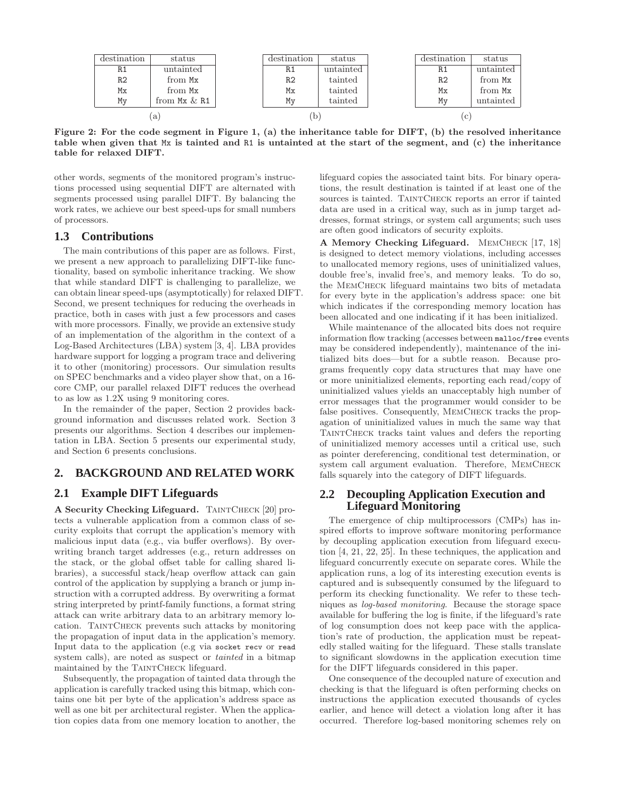

Figure 2: For the code segment in Figure 1, (a) the inheritance table for DIFT, (b) the resolved inheritance table when given that Mx is tainted and R1 is untainted at the start of the segment, and (c) the inheritance table for relaxed DIFT.

other words, segments of the monitored program's instructions processed using sequential DIFT are alternated with segments processed using parallel DIFT. By balancing the work rates, we achieve our best speed-ups for small numbers of processors.

#### **1.3 Contributions**

The main contributions of this paper are as follows. First, we present a new approach to parallelizing DIFT-like functionality, based on symbolic inheritance tracking. We show that while standard DIFT is challenging to parallelize, we can obtain linear speed-ups (asymptotically) for relaxed DIFT. Second, we present techniques for reducing the overheads in practice, both in cases with just a few processors and cases with more processors. Finally, we provide an extensive study of an implementation of the algorithm in the context of a Log-Based Architectures (LBA) system [3, 4]. LBA provides hardware support for logging a program trace and delivering it to other (monitoring) processors. Our simulation results on SPEC benchmarks and a video player show that, on a 16 core CMP, our parallel relaxed DIFT reduces the overhead to as low as 1.2X using 9 monitoring cores.

In the remainder of the paper, Section 2 provides background information and discusses related work. Section 3 presents our algorithms. Section 4 describes our implementation in LBA. Section 5 presents our experimental study, and Section 6 presents conclusions.

# **2. BACKGROUND AND RELATED WORK**

## **2.1 Example DIFT Lifeguards**

A Security Checking Lifeguard. TAINTCHECK [20] protects a vulnerable application from a common class of security exploits that corrupt the application's memory with malicious input data (e.g., via buffer overflows). By overwriting branch target addresses (e.g., return addresses on the stack, or the global offset table for calling shared libraries), a successful stack/heap overflow attack can gain control of the application by supplying a branch or jump instruction with a corrupted address. By overwriting a format string interpreted by printf-family functions, a format string attack can write arbitrary data to an arbitrary memory location. TaintCheck prevents such attacks by monitoring the propagation of input data in the application's memory. Input data to the application (e.g via socket recv or read system calls), are noted as suspect or *tainted* in a bitmap maintained by the TAINTCHECK lifeguard.

Subsequently, the propagation of tainted data through the application is carefully tracked using this bitmap, which contains one bit per byte of the application's address space as well as one bit per architectural register. When the application copies data from one memory location to another, the

lifeguard copies the associated taint bits. For binary operations, the result destination is tainted if at least one of the sources is tainted. TAINTCHECK reports an error if tainted data are used in a critical way, such as in jump target addresses, format strings, or system call arguments; such uses are often good indicators of security exploits.

A Memory Checking Lifeguard. MEMCHECK [17, 18] is designed to detect memory violations, including accesses to unallocated memory regions, uses of uninitialized values, double free's, invalid free's, and memory leaks. To do so, the MemCheck lifeguard maintains two bits of metadata for every byte in the application's address space: one bit which indicates if the corresponding memory location has been allocated and one indicating if it has been initialized.

While maintenance of the allocated bits does not require information flow tracking (accesses between malloc/free events may be considered independently), maintenance of the initialized bits does—but for a subtle reason. Because programs frequently copy data structures that may have one or more uninitialized elements, reporting each read/copy of uninitialized values yields an unacceptably high number of error messages that the programmer would consider to be false positives. Consequently, MEMCHECK tracks the propagation of uninitialized values in much the same way that TaintCheck tracks taint values and defers the reporting of uninitialized memory accesses until a critical use, such as pointer dereferencing, conditional test determination, or system call argument evaluation. Therefore, MemCheck falls squarely into the category of DIFT lifeguards.

# **2.2 Decoupling Application Execution and Lifeguard Monitoring**

The emergence of chip multiprocessors (CMPs) has inspired efforts to improve software monitoring performance by decoupling application execution from lifeguard execution [4, 21, 22, 25]. In these techniques, the application and lifeguard concurrently execute on separate cores. While the application runs, a log of its interesting execution events is captured and is subsequently consumed by the lifeguard to perform its checking functionality. We refer to these techniques as log-based monitoring. Because the storage space available for buffering the log is finite, if the lifeguard's rate of log consumption does not keep pace with the application's rate of production, the application must be repeatedly stalled waiting for the lifeguard. These stalls translate to significant slowdowns in the application execution time for the DIFT lifeguards considered in this paper.

One consequence of the decoupled nature of execution and checking is that the lifeguard is often performing checks on instructions the application executed thousands of cycles earlier, and hence will detect a violation long after it has occurred. Therefore log-based monitoring schemes rely on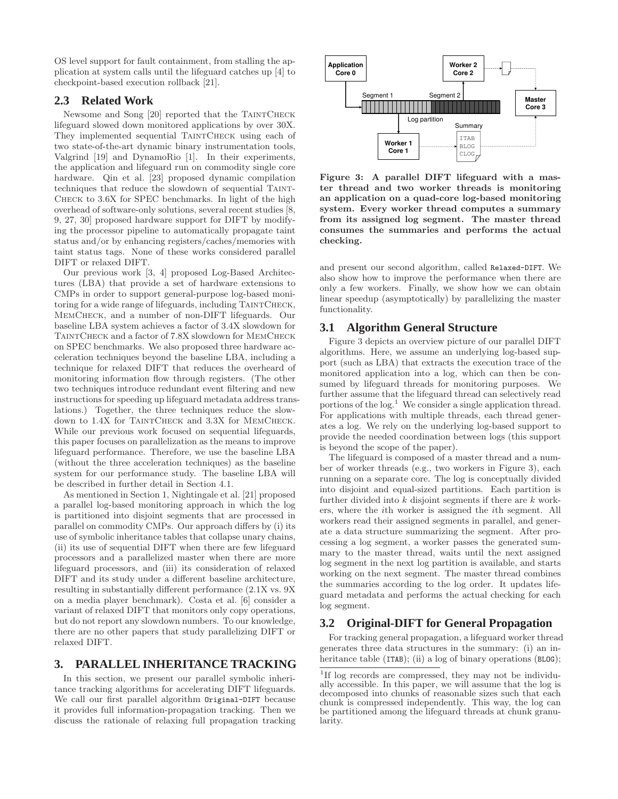OS level support for fault containment, from stalling the application at system calls until the lifeguard catches up [4] to checkpoint-based execution rollback [21].

# **2.3 Related Work**

Newsome and Song [20] reported that the TAINTCHECK lifeguard slowed down monitored applications by over 30X. They implemented sequential TAINTCHECK using each of two state-of-the-art dynamic binary instrumentation tools, Valgrind [19] and DynamoRio [1]. In their experiments, the application and lifeguard run on commodity single core hardware. Qin et al. [23] proposed dynamic compilation techniques that reduce the slowdown of sequential TAINT-Check to 3.6X for SPEC benchmarks. In light of the high overhead of software-only solutions, several recent studies [8, 9, 27, 30] proposed hardware support for DIFT by modifying the processor pipeline to automatically propagate taint status and/or by enhancing registers/caches/memories with taint status tags. None of these works considered parallel DIFT or relaxed DIFT.

Our previous work [3, 4] proposed Log-Based Architectures (LBA) that provide a set of hardware extensions to CMPs in order to support general-purpose log-based monitoring for a wide range of lifeguards, including TAINTCHECK, MemCheck, and a number of non-DIFT lifeguards. Our baseline LBA system achieves a factor of 3.4X slowdown for TaintCheck and a factor of 7.8X slowdown for MemCheck on SPEC benchmarks. We also proposed three hardware acceleration techniques beyond the baseline LBA, including a technique for relaxed DIFT that reduces the overheard of monitoring information flow through registers. (The other two techniques introduce redundant event filtering and new instructions for speeding up lifeguard metadata address translations.) Together, the three techniques reduce the slowdown to 1.4X for TAINTCHECK and 3.3X for MEMCHECK. While our previous work focused on sequential lifeguards, this paper focuses on parallelization as the means to improve lifeguard performance. Therefore, we use the baseline LBA (without the three acceleration techniques) as the baseline system for our performance study. The baseline LBA will be described in further detail in Section 4.1.

As mentioned in Section 1, Nightingale et al. [21] proposed a parallel log-based monitoring approach in which the log is partitioned into disjoint segments that are processed in parallel on commodity CMPs. Our approach differs by (i) its use of symbolic inheritance tables that collapse unary chains, (ii) its use of sequential DIFT when there are few lifeguard processors and a parallelized master when there are more lifeguard processors, and (iii) its consideration of relaxed DIFT and its study under a different baseline architecture, resulting in substantially different performance (2.1X vs. 9X on a media player benchmark). Costa et al. [6] consider a variant of relaxed DIFT that monitors only copy operations, but do not report any slowdown numbers. To our knowledge, there are no other papers that study parallelizing DIFT or relaxed DIFT.

# **3. PARALLEL INHERITANCE TRACKING**

In this section, we present our parallel symbolic inheritance tracking algorithms for accelerating DIFT lifeguards. We call our first parallel algorithm Original-DIFT because it provides full information-propagation tracking. Then we discuss the rationale of relaxing full propagation tracking



Figure 3: A parallel DIFT lifeguard with a master thread and two worker threads is monitoring an application on a quad-core log-based monitoring system. Every worker thread computes a summary from its assigned log segment. The master thread consumes the summaries and performs the actual checking.

and present our second algorithm, called Relaxed-DIFT. We also show how to improve the performance when there are only a few workers. Finally, we show how we can obtain linear speedup (asymptotically) by parallelizing the master functionality.

# **3.1 Algorithm General Structure**

Figure 3 depicts an overview picture of our parallel DIFT algorithms. Here, we assume an underlying log-based support (such as LBA) that extracts the execution trace of the monitored application into a log, which can then be consumed by lifeguard threads for monitoring purposes. We further assume that the lifeguard thread can selectively read portions of the  $log.<sup>1</sup>$  We consider a single application thread. For applications with multiple threads, each thread generates a log. We rely on the underlying log-based support to provide the needed coordination between logs (this support is beyond the scope of the paper).

The lifeguard is composed of a master thread and a number of worker threads (e.g., two workers in Figure 3), each running on a separate core. The log is conceptually divided into disjoint and equal-sized partitions. Each partition is further divided into  $k$  disjoint segments if there are  $k$  workers, where the ith worker is assigned the ith segment. All workers read their assigned segments in parallel, and generate a data structure summarizing the segment. After processing a log segment, a worker passes the generated summary to the master thread, waits until the next assigned log segment in the next log partition is available, and starts working on the next segment. The master thread combines the summaries according to the log order. It updates lifeguard metadata and performs the actual checking for each log segment.

# **3.2 Original-DIFT for General Propagation**

For tracking general propagation, a lifeguard worker thread generates three data structures in the summary: (i) an inheritance table (ITAB); (ii) a log of binary operations (BLOG);

<sup>&</sup>lt;sup>1</sup>If log records are compressed, they may not be individually accessible. In this paper, we will assume that the log is decomposed into chunks of reasonable sizes such that each chunk is compressed independently. This way, the log can be partitioned among the lifeguard threads at chunk granularity.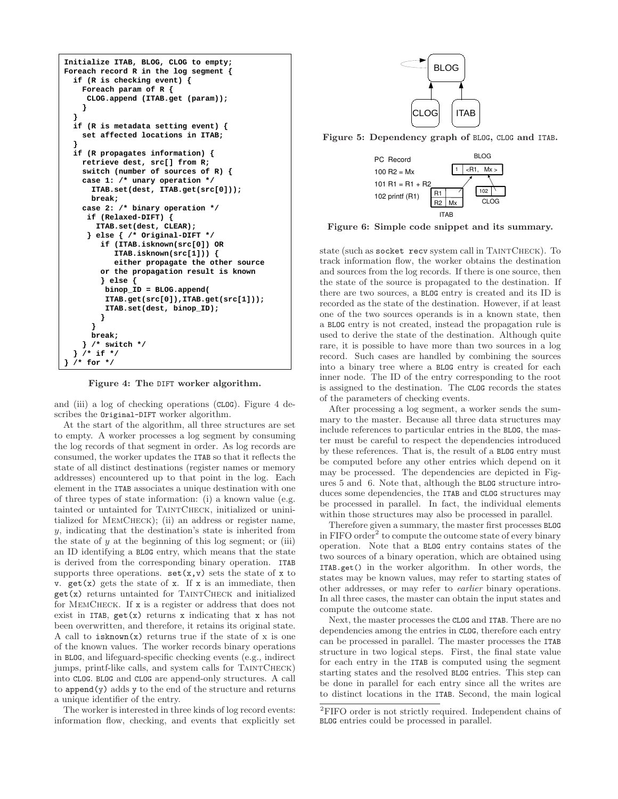```
Initialize ITAB, BLOG, CLOG to empty;
Foreach record R in the log segment {
\, if (R is checking event) {
   Foreach param of R {
CLOG.append (ITAB.get (param));
   }
 		&
\, if (R is metadata setting event) {
set affected locations in ITAB;
b
\quad if (R propagates information) {
   retrieve dest, src[] from R;
Switch (number of sources of R) {
case 1: /* unary operation */
\texttt{ITAB.set(dest, ITAB.get(src[0]))};break;
case 2: /* binary operation */
\, if (Relaxed-DIFT) {
\blacksquare TTAB.set(dest, CLEAR);
} else { /* Original-DIFT */
\texttt{if (ITAB.isknown(src[0]) OR}\texttt{ITAB}. \texttt{isknown}(\texttt{src[1]})) {
          either propagate the other source
or the propagation result is known
       1 else \thetabinop_ID = BLOG.append(
\verb|ITAB.get(src[0]], \verb|ITAB.get(src[1])|;\texttt{ITAB.set(dest, binop\_ID)} ;
       }
     }
     break;
   } /* switch */
 } /* if */
 /* for */
```
Figure 4: The DIFT worker algorithm.

and (iii) a log of checking operations (CLOG). Figure 4 describes the Original-DIFT worker algorithm.

At the start of the algorithm, all three structures are set to empty. A worker processes a log segment by consuming the log records of that segment in order. As log records are consumed, the worker updates the ITAB so that it reflects the state of all distinct destinations (register names or memory addresses) encountered up to that point in the log. Each element in the ITAB associates a unique destination with one of three types of state information: (i) a known value (e.g. tainted or untainted for TAINTCHECK, initialized or uninitialized for MemCheck); (ii) an address or register name,  $y$ , indicating that the destination's state is inherited from the state of  $y$  at the beginning of this log segment; or (iii) an ID identifying a BLOG entry, which means that the state is derived from the corresponding binary operation. ITAB supports three operations.  $\text{set}(x,v)$  sets the state of x to v.  $get(x)$  gets the state of x. If x is an immediate, then  $get(x)$  returns untainted for TAINTCHECK and initialized for MemCheck. If x is a register or address that does not exist in ITAB,  $get(x)$  returns x indicating that x has not been overwritten, and therefore, it retains its original state. A call to  $\text{isknown}(x)$  returns true if the state of x is one of the known values. The worker records binary operations in BLOG, and lifeguard-specific checking events (e.g., indirect jumps, printf-like calls, and system calls for TAINTCHECK) into CLOG. BLOG and CLOG are append-only structures. A call to  $append(y)$  adds y to the end of the structure and returns a unique identifier of the entry.

The worker is interested in three kinds of log record events: information flow, checking, and events that explicitly set



Figure 5: Dependency graph of BLOG, CLOG and ITAB.



Figure 6: Simple code snippet and its summary.

state (such as socket recv system call in TAINTCHECK). To track information flow, the worker obtains the destination and sources from the log records. If there is one source, then the state of the source is propagated to the destination. If there are two sources, a BLOG entry is created and its ID is recorded as the state of the destination. However, if at least one of the two sources operands is in a known state, then a BLOG entry is not created, instead the propagation rule is used to derive the state of the destination. Although quite rare, it is possible to have more than two sources in a log record. Such cases are handled by combining the sources into a binary tree where a BLOG entry is created for each inner node. The ID of the entry corresponding to the root is assigned to the destination. The CLOG records the states of the parameters of checking events.

After processing a log segment, a worker sends the summary to the master. Because all three data structures may include references to particular entries in the BLOG, the master must be careful to respect the dependencies introduced by these references. That is, the result of a BLOG entry must be computed before any other entries which depend on it may be processed. The dependencies are depicted in Figures 5 and 6. Note that, although the BLOG structure introduces some dependencies, the ITAB and CLOG structures may be processed in parallel. In fact, the individual elements within those structures may also be processed in parallel.

Therefore given a summary, the master first processes BLOG in FIFO order<sup>2</sup> to compute the outcome state of every binary operation. Note that a BLOG entry contains states of the two sources of a binary operation, which are obtained using ITAB.get() in the worker algorithm. In other words, the states may be known values, may refer to starting states of other addresses, or may refer to earlier binary operations. In all three cases, the master can obtain the input states and compute the outcome state.

Next, the master processes the CLOG and ITAB. There are no dependencies among the entries in CLOG, therefore each entry can be processed in parallel. The master processes the ITAB structure in two logical steps. First, the final state value for each entry in the ITAB is computed using the segment starting states and the resolved BLOG entries. This step can be done in parallel for each entry since all the writes are to distinct locations in the ITAB. Second, the main logical

<sup>2</sup>FIFO order is not strictly required. Independent chains of BLOG entries could be processed in parallel.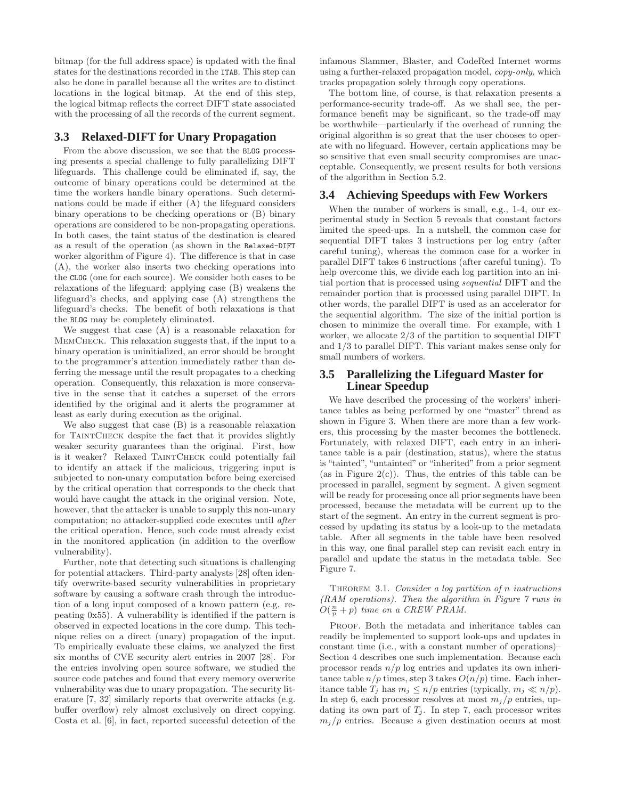bitmap (for the full address space) is updated with the final states for the destinations recorded in the ITAB. This step can also be done in parallel because all the writes are to distinct locations in the logical bitmap. At the end of this step, the logical bitmap reflects the correct DIFT state associated with the processing of all the records of the current segment.

## **3.3 Relaxed-DIFT for Unary Propagation**

From the above discussion, we see that the BLOG processing presents a special challenge to fully parallelizing DIFT lifeguards. This challenge could be eliminated if, say, the outcome of binary operations could be determined at the time the workers handle binary operations. Such determinations could be made if either (A) the lifeguard considers binary operations to be checking operations or (B) binary operations are considered to be non-propagating operations. In both cases, the taint status of the destination is cleared as a result of the operation (as shown in the Relaxed-DIFT worker algorithm of Figure 4). The difference is that in case (A), the worker also inserts two checking operations into the CLOG (one for each source). We consider both cases to be relaxations of the lifeguard; applying case (B) weakens the lifeguard's checks, and applying case (A) strengthens the lifeguard's checks. The benefit of both relaxations is that the BLOG may be completely eliminated.

We suggest that case (A) is a reasonable relaxation for MemCheck. This relaxation suggests that, if the input to a binary operation is uninitialized, an error should be brought to the programmer's attention immediately rather than deferring the message until the result propagates to a checking operation. Consequently, this relaxation is more conservative in the sense that it catches a superset of the errors identified by the original and it alerts the programmer at least as early during execution as the original.

We also suggest that case (B) is a reasonable relaxation for TaintCheck despite the fact that it provides slightly weaker security guarantees than the original. First, how is it weaker? Relaxed TaintCheck could potentially fail to identify an attack if the malicious, triggering input is subjected to non-unary computation before being exercised by the critical operation that corresponds to the check that would have caught the attack in the original version. Note, however, that the attacker is unable to supply this non-unary computation; no attacker-supplied code executes until after the critical operation. Hence, such code must already exist in the monitored application (in addition to the overflow vulnerability).

Further, note that detecting such situations is challenging for potential attackers. Third-party analysts [28] often identify overwrite-based security vulnerabilities in proprietary software by causing a software crash through the introduction of a long input composed of a known pattern (e.g. repeating 0x55). A vulnerability is identified if the pattern is observed in expected locations in the core dump. This technique relies on a direct (unary) propagation of the input. To empirically evaluate these claims, we analyzed the first six months of CVE security alert entries in 2007 [28]. For the entries involving open source software, we studied the source code patches and found that every memory overwrite vulnerability was due to unary propagation. The security literature [7, 32] similarly reports that overwrite attacks (e.g. buffer overflow) rely almost exclusively on direct copying. Costa et al. [6], in fact, reported successful detection of the

infamous Slammer, Blaster, and CodeRed Internet worms using a further-relaxed propagation model, copy-only, which tracks propagation solely through copy operations.

The bottom line, of course, is that relaxation presents a performance-security trade-off. As we shall see, the performance benefit may be significant, so the trade-off may be worthwhile—particularly if the overhead of running the original algorithm is so great that the user chooses to operate with no lifeguard. However, certain applications may be so sensitive that even small security compromises are unacceptable. Consequently, we present results for both versions of the algorithm in Section 5.2.

#### **3.4 Achieving Speedups with Few Workers**

When the number of workers is small, e.g., 1-4, our experimental study in Section 5 reveals that constant factors limited the speed-ups. In a nutshell, the common case for sequential DIFT takes 3 instructions per log entry (after careful tuning), whereas the common case for a worker in parallel DIFT takes 6 instructions (after careful tuning). To help overcome this, we divide each log partition into an initial portion that is processed using sequential DIFT and the remainder portion that is processed using parallel DIFT. In other words, the parallel DIFT is used as an accelerator for the sequential algorithm. The size of the initial portion is chosen to minimize the overall time. For example, with 1 worker, we allocate 2/3 of the partition to sequential DIFT and 1/3 to parallel DIFT. This variant makes sense only for small numbers of workers.

# **3.5 Parallelizing the Lifeguard Master for Linear Speedup**

We have described the processing of the workers' inheritance tables as being performed by one "master" thread as shown in Figure 3. When there are more than a few workers, this processing by the master becomes the bottleneck. Fortunately, with relaxed DIFT, each entry in an inheritance table is a pair (destination, status), where the status is "tainted", "untainted" or "inherited" from a prior segment (as in Figure  $2(c)$ ). Thus, the entries of this table can be processed in parallel, segment by segment. A given segment will be ready for processing once all prior segments have been processed, because the metadata will be current up to the start of the segment. An entry in the current segment is processed by updating its status by a look-up to the metadata table. After all segments in the table have been resolved in this way, one final parallel step can revisit each entry in parallel and update the status in the metadata table. See Figure 7.

THEOREM 3.1. Consider a log partition of n instructions (RAM operations). Then the algorithm in Figure 7 runs in  $O(\frac{n}{p}+p)$  time on a CREW PRAM.

PROOF. Both the metadata and inheritance tables can readily be implemented to support look-ups and updates in constant time (i.e., with a constant number of operations)– Section 4 describes one such implementation. Because each processor reads  $n/p$  log entries and updates its own inheritance table  $n/p$  times, step 3 takes  $O(n/p)$  time. Each inheritance table  $T_i$  has  $m_i \leq n/p$  entries (typically,  $m_i \ll n/p$ ). In step 6, each processor resolves at most  $m_j/p$  entries, updating its own part of  $T_j$ . In step 7, each processor writes  $m_j/p$  entries. Because a given destination occurs at most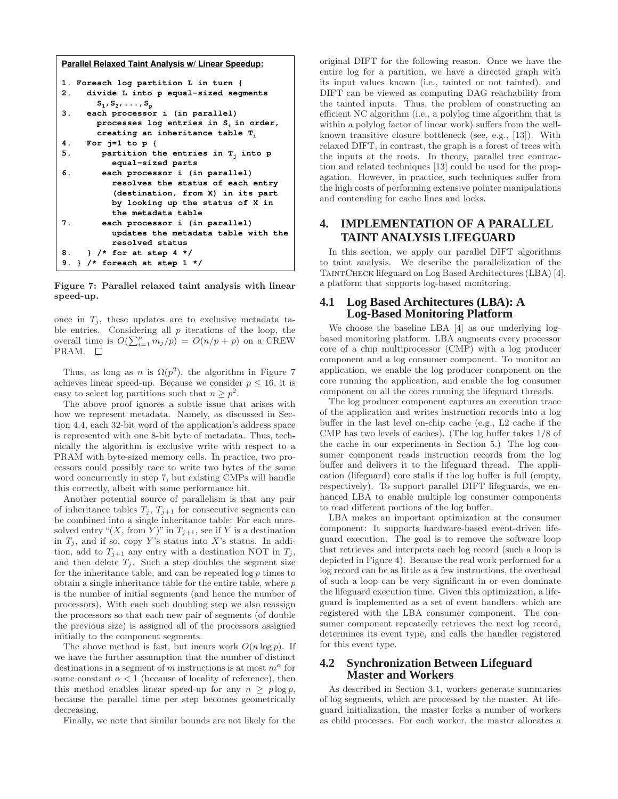```
Parallel Relaxed Taint Analysis w/ Linear Speedup:
1. Foreach log partition L in turn {
2. divide L into p equal-sized segments
       S_1, S_2, \ldots, S_p3. each processor i (in parallel)
      processes log entries in Si in order,
       creating an inheritance table Ti
4. For j=1 to p {
5. partition the entries in Tj into p
          equal-sized parts
6. each processor i (in parallel)
          resolves the status of each entry
          (destination, from X) in its part
          by looking up the status of X in
          the metadata table
7. each processor i (in parallel)
          updates the metadata table with the
          resolved status
8. } /* for at step 4 */
9. } /* foreach at step 1 */
```
Figure 7: Parallel relaxed taint analysis with linear speed-up.

once in  $T_i$ , these updates are to exclusive metadata table entries. Considering all  $p$  iterations of the loop, the overall time is  $O(\sum_{i=1}^p m_i/p) = O(n/p + p)$  on a CREW PRAM.  $\square$ 

Thus, as long as n is  $\Omega(p^2)$ , the algorithm in Figure 7 achieves linear speed-up. Because we consider  $p \leq 16$ , it is easy to select log partitions such that  $n \geq p^2$ .

The above proof ignores a subtle issue that arises with how we represent metadata. Namely, as discussed in Section 4.4, each 32-bit word of the application's address space is represented with one 8-bit byte of metadata. Thus, technically the algorithm is exclusive write with respect to a PRAM with byte-sized memory cells. In practice, two processors could possibly race to write two bytes of the same word concurrently in step 7, but existing CMPs will handle this correctly, albeit with some performance hit.

Another potential source of parallelism is that any pair of inheritance tables  $T_j$ ,  $T_{j+1}$  for consecutive segments can be combined into a single inheritance table: For each unresolved entry " $(X, \text{ from } Y)$ " in  $T_{j+1}$ , see if Y is a destination in  $T_j$ , and if so, copy Y's status into X's status. In addition, add to  $T_{j+1}$  any entry with a destination NOT in  $T_j$ , and then delete  $T_i$ . Such a step doubles the segment size for the inheritance table, and can be repeated  $\log p$  times to obtain a single inheritance table for the entire table, where p is the number of initial segments (and hence the number of processors). With each such doubling step we also reassign the processors so that each new pair of segments (of double the previous size) is assigned all of the processors assigned initially to the component segments.

The above method is fast, but incurs work  $O(n \log p)$ . If we have the further assumption that the number of distinct destinations in a segment of m instructions is at most  $m^{\alpha}$  for some constant  $\alpha < 1$  (because of locality of reference), then this method enables linear speed-up for any  $n \geq p \log p$ , because the parallel time per step becomes geometrically decreasing.

Finally, we note that similar bounds are not likely for the

original DIFT for the following reason. Once we have the entire log for a partition, we have a directed graph with its input values known (i.e., tainted or not tainted), and DIFT can be viewed as computing DAG reachability from the tainted inputs. Thus, the problem of constructing an efficient NC algorithm (i.e., a polylog time algorithm that is within a polylog factor of linear work) suffers from the wellknown transitive closure bottleneck (see, e.g., [13]). With relaxed DIFT, in contrast, the graph is a forest of trees with the inputs at the roots. In theory, parallel tree contraction and related techniques [13] could be used for the propagation. However, in practice, such techniques suffer from the high costs of performing extensive pointer manipulations and contending for cache lines and locks.

# **4. IMPLEMENTATION OF A PARALLEL TAINT ANALYSIS LIFEGUARD**

In this section, we apply our parallel DIFT algorithms to taint analysis. We describe the parallelization of the TaintCheck lifeguard on Log Based Architectures (LBA) [4], a platform that supports log-based monitoring.

#### **4.1 Log Based Architectures (LBA): A Log-Based Monitoring Platform**

We choose the baseline LBA [4] as our underlying logbased monitoring platform. LBA augments every processor core of a chip multiprocessor (CMP) with a log producer component and a log consumer component. To monitor an application, we enable the log producer component on the core running the application, and enable the log consumer component on all the cores running the lifeguard threads.

The log producer component captures an execution trace of the application and writes instruction records into a log buffer in the last level on-chip cache (e.g., L2 cache if the CMP has two levels of caches). (The log buffer takes 1/8 of the cache in our experiments in Section 5.) The log consumer component reads instruction records from the log buffer and delivers it to the lifeguard thread. The application (lifeguard) core stalls if the log buffer is full (empty, respectively). To support parallel DIFT lifeguards, we enhanced LBA to enable multiple log consumer components to read different portions of the log buffer.

LBA makes an important optimization at the consumer component: It supports hardware-based event-driven lifeguard execution. The goal is to remove the software loop that retrieves and interprets each log record (such a loop is depicted in Figure 4). Because the real work performed for a log record can be as little as a few instructions, the overhead of such a loop can be very significant in or even dominate the lifeguard execution time. Given this optimization, a lifeguard is implemented as a set of event handlers, which are registered with the LBA consumer component. The consumer component repeatedly retrieves the next log record, determines its event type, and calls the handler registered for this event type.

### **4.2 Synchronization Between Lifeguard Master and Workers**

As described in Section 3.1, workers generate summaries of log segments, which are processed by the master. At lifeguard initialization, the master forks a number of workers as child processes. For each worker, the master allocates a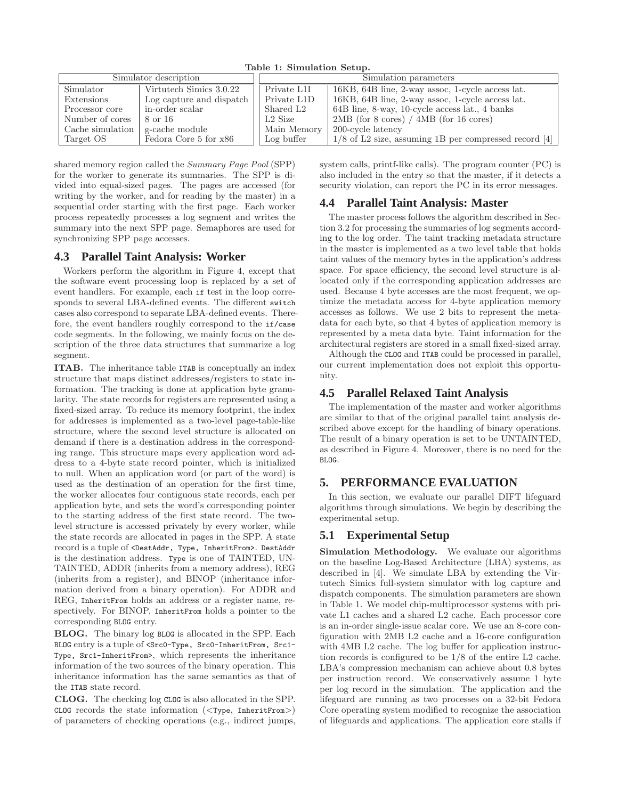Table 1: Simulation Setup.

| Simulator description |                          | Simulation parameters |                                                         |
|-----------------------|--------------------------|-----------------------|---------------------------------------------------------|
| Simulator             | Virtutech Simics 3.0.22  | Private L1I           | 16KB, 64B line, 2-way assoc, 1-cycle access lat.        |
| Extensions            | Log capture and dispatch | Private L1D           | 16KB, 64B line, 2-way assoc, 1-cycle access lat.        |
| Processor core        | in-order scalar          | Shared L <sub>2</sub> | 64B line, 8-way, 10-cycle access lat., 4 banks          |
| Number of cores       | 8 or 16                  | $L2$ Size             | $2MB$ (for 8 cores) / $4MB$ (for 16 cores)              |
| Cache simulation      | g-cache module           | Main Memory           | 200-cycle latency                                       |
| Target OS             | Fedora Core 5 for x86    | Log buffer            | $1/8$ of L2 size, assuming 1B per compressed record [4] |

shared memory region called the Summary Page Pool (SPP) for the worker to generate its summaries. The SPP is divided into equal-sized pages. The pages are accessed (for writing by the worker, and for reading by the master) in a sequential order starting with the first page. Each worker process repeatedly processes a log segment and writes the summary into the next SPP page. Semaphores are used for synchronizing SPP page accesses.

## **4.3 Parallel Taint Analysis: Worker**

Workers perform the algorithm in Figure 4, except that the software event processing loop is replaced by a set of event handlers. For example, each if test in the loop corresponds to several LBA-defined events. The different switch cases also correspond to separate LBA-defined events. Therefore, the event handlers roughly correspond to the if/case code segments. In the following, we mainly focus on the description of the three data structures that summarize a log segment.

ITAB. The inheritance table ITAB is conceptually an index structure that maps distinct addresses/registers to state information. The tracking is done at application byte granularity. The state records for registers are represented using a fixed-sized array. To reduce its memory footprint, the index for addresses is implemented as a two-level page-table-like structure, where the second level structure is allocated on demand if there is a destination address in the corresponding range. This structure maps every application word address to a 4-byte state record pointer, which is initialized to null. When an application word (or part of the word) is used as the destination of an operation for the first time, the worker allocates four contiguous state records, each per application byte, and sets the word's corresponding pointer to the starting address of the first state record. The twolevel structure is accessed privately by every worker, while the state records are allocated in pages in the SPP. A state record is a tuple of <DestAddr, Type, InheritFrom>. DestAddr is the destination address. Type is one of TAINTED, UN-TAINTED, ADDR (inherits from a memory address), REG (inherits from a register), and BINOP (inheritance information derived from a binary operation). For ADDR and REG, InheritFrom holds an address or a register name, respectively. For BINOP, InheritFrom holds a pointer to the corresponding BLOG entry.

BLOG. The binary log BLOG is allocated in the SPP. Each BLOG entry is a tuple of <Src0-Type, Src0-InheritFrom, Src1- Type, Src1-InheritFrom>, which represents the inheritance information of the two sources of the binary operation. This inheritance information has the same semantics as that of the ITAB state record.

CLOG. The checking log CLOG is also allocated in the SPP. CLOG records the state information  $(*Type*, *InheritFrom*)$ of parameters of checking operations (e.g., indirect jumps, system calls, printf-like calls). The program counter (PC) is also included in the entry so that the master, if it detects a security violation, can report the PC in its error messages.

#### **4.4 Parallel Taint Analysis: Master**

The master process follows the algorithm described in Section 3.2 for processing the summaries of log segments according to the log order. The taint tracking metadata structure in the master is implemented as a two level table that holds taint values of the memory bytes in the application's address space. For space efficiency, the second level structure is allocated only if the corresponding application addresses are used. Because 4 byte accesses are the most frequent, we optimize the metadata access for 4-byte application memory accesses as follows. We use 2 bits to represent the metadata for each byte, so that 4 bytes of application memory is represented by a meta data byte. Taint information for the architectural registers are stored in a small fixed-sized array.

Although the CLOG and ITAB could be processed in parallel, our current implementation does not exploit this opportunity.

# **4.5 Parallel Relaxed Taint Analysis**

The implementation of the master and worker algorithms are similar to that of the original parallel taint analysis described above except for the handling of binary operations. The result of a binary operation is set to be UNTAINTED, as described in Figure 4. Moreover, there is no need for the BLOG.

# **5. PERFORMANCE EVALUATION**

In this section, we evaluate our parallel DIFT lifeguard algorithms through simulations. We begin by describing the experimental setup.

# **5.1 Experimental Setup**

Simulation Methodology. We evaluate our algorithms on the baseline Log-Based Architecture (LBA) systems, as described in [4]. We simulate LBA by extending the Virtutech Simics full-system simulator with log capture and dispatch components. The simulation parameters are shown in Table 1. We model chip-multiprocessor systems with private L1 caches and a shared L2 cache. Each processor core is an in-order single-issue scalar core. We use an 8-core configuration with 2MB L2 cache and a 16-core configuration with 4MB L2 cache. The log buffer for application instruction records is configured to be 1/8 of the entire L2 cache. LBA's compression mechanism can achieve about 0.8 bytes per instruction record. We conservatively assume 1 byte per log record in the simulation. The application and the lifeguard are running as two processes on a 32-bit Fedora Core operating system modified to recognize the association of lifeguards and applications. The application core stalls if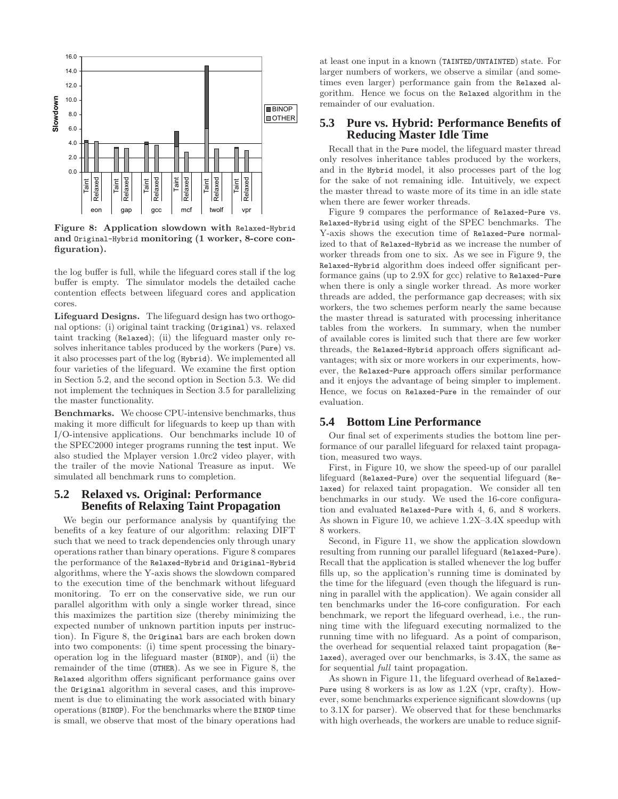

Figure 8: Application slowdown with Relaxed-Hybrid and Original-Hybrid monitoring (1 worker, 8-core configuration).

the log buffer is full, while the lifeguard cores stall if the log buffer is empty. The simulator models the detailed cache contention effects between lifeguard cores and application cores.

Lifeguard Designs. The lifeguard design has two orthogonal options: (i) original taint tracking (Original) vs. relaxed taint tracking (Relaxed); (ii) the lifeguard master only resolves inheritance tables produced by the workers (Pure) vs. it also processes part of the log (Hybrid). We implemented all four varieties of the lifeguard. We examine the first option in Section 5.2, and the second option in Section 5.3. We did not implement the techniques in Section 3.5 for parallelizing the master functionality.

Benchmarks. We choose CPU-intensive benchmarks, thus making it more difficult for lifeguards to keep up than with I/O-intensive applications. Our benchmarks include 10 of the SPEC2000 integer programs running the test input. We also studied the Mplayer version 1.0rc2 video player, with the trailer of the movie National Treasure as input. We simulated all benchmark runs to completion.

### **5.2 Relaxed vs. Original: Performance Benefits of Relaxing Taint Propagation**

We begin our performance analysis by quantifying the benefits of a key feature of our algorithm: relaxing DIFT such that we need to track dependencies only through unary operations rather than binary operations. Figure 8 compares the performance of the Relaxed-Hybrid and Original-Hybrid algorithms, where the Y-axis shows the slowdown compared to the execution time of the benchmark without lifeguard monitoring. To err on the conservative side, we run our parallel algorithm with only a single worker thread, since this maximizes the partition size (thereby minimizing the expected number of unknown partition inputs per instruction). In Figure 8, the Original bars are each broken down into two components: (i) time spent processing the binaryoperation log in the lifeguard master (BINOP), and (ii) the remainder of the time (OTHER). As we see in Figure 8, the Relaxed algorithm offers significant performance gains over the Original algorithm in several cases, and this improvement is due to eliminating the work associated with binary operations (BINOP). For the benchmarks where the BINOP time is small, we observe that most of the binary operations had

at least one input in a known (TAINTED/UNTAINTED) state. For larger numbers of workers, we observe a similar (and sometimes even larger) performance gain from the Relaxed algorithm. Hence we focus on the Relaxed algorithm in the remainder of our evaluation.

#### **5.3 Pure vs. Hybrid: Performance Benefits of Reducing Master Idle Time**

Recall that in the Pure model, the lifeguard master thread only resolves inheritance tables produced by the workers, and in the Hybrid model, it also processes part of the log for the sake of not remaining idle. Intuitively, we expect the master thread to waste more of its time in an idle state when there are fewer worker threads.

Figure 9 compares the performance of Relaxed-Pure vs. Relaxed-Hybrid using eight of the SPEC benchmarks. The Y-axis shows the execution time of Relaxed-Pure normalized to that of Relaxed-Hybrid as we increase the number of worker threads from one to six. As we see in Figure 9, the Relaxed-Hybrid algorithm does indeed offer significant performance gains (up to 2.9X for gcc) relative to Relaxed-Pure when there is only a single worker thread. As more worker threads are added, the performance gap decreases; with six workers, the two schemes perform nearly the same because the master thread is saturated with processing inheritance tables from the workers. In summary, when the number of available cores is limited such that there are few worker threads, the Relaxed-Hybrid approach offers significant advantages; with six or more workers in our experiments, however, the Relaxed-Pure approach offers similar performance and it enjoys the advantage of being simpler to implement. Hence, we focus on Relaxed-Pure in the remainder of our evaluation.

### **5.4 Bottom Line Performance**

Our final set of experiments studies the bottom line performance of our parallel lifeguard for relaxed taint propagation, measured two ways.

First, in Figure 10, we show the speed-up of our parallel lifeguard (Relaxed-Pure) over the sequential lifeguard (Relaxed) for relaxed taint propagation. We consider all ten benchmarks in our study. We used the 16-core configuration and evaluated Relaxed-Pure with 4, 6, and 8 workers. As shown in Figure 10, we achieve 1.2X–3.4X speedup with 8 workers.

Second, in Figure 11, we show the application slowdown resulting from running our parallel lifeguard (Relaxed-Pure). Recall that the application is stalled whenever the log buffer fills up, so the application's running time is dominated by the time for the lifeguard (even though the lifeguard is running in parallel with the application). We again consider all ten benchmarks under the 16-core configuration. For each benchmark, we report the lifeguard overhead, i.e., the running time with the lifeguard executing normalized to the running time with no lifeguard. As a point of comparison, the overhead for sequential relaxed taint propagation (Relaxed), averaged over our benchmarks, is 3.4X, the same as for sequential full taint propagation.

As shown in Figure 11, the lifeguard overhead of Relaxed-Pure using 8 workers is as low as 1.2X (vpr, crafty). However, some benchmarks experience significant slowdowns (up to 3.1X for parser). We observed that for these benchmarks with high overheads, the workers are unable to reduce signif-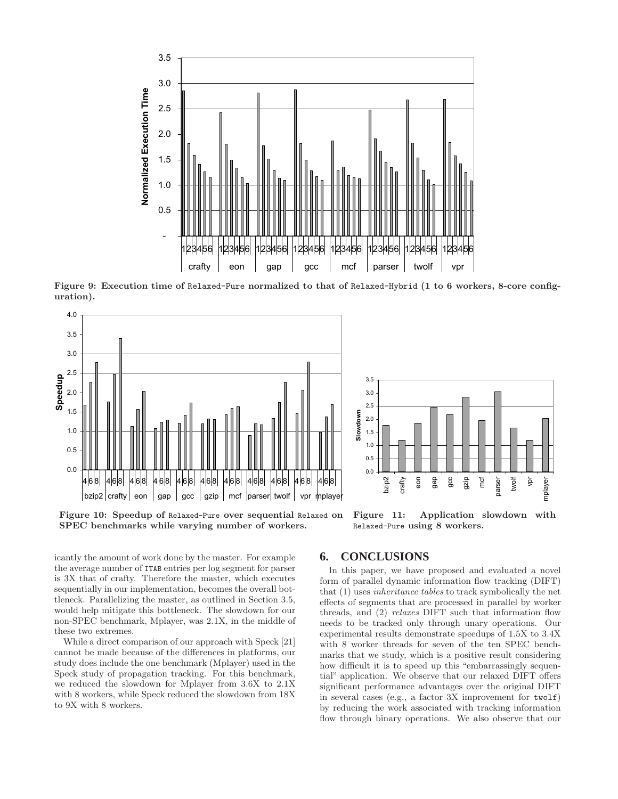

Figure 9: Execution time of Relaxed-Pure normalized to that of Relaxed-Hybrid (1 to 6 workers, 8-core configuration).



Figure 10: Speedup of Relaxed-Pure over sequential Relaxed on SPEC benchmarks while varying number of workers.



Figure 11: Application slowdown with Relaxed-Pure using 8 workers.

icantly the amount of work done by the master. For example the average number of ITAB entries per log segment for parser is 3X that of crafty. Therefore the master, which executes sequentially in our implementation, becomes the overall bottleneck. Parallelizing the master, as outlined in Section 3.5, would help mitigate this bottleneck. The slowdown for our non-SPEC benchmark, Mplayer, was 2.1X, in the middle of these two extremes.

While a direct comparison of our approach with Speck [21] cannot be made because of the differences in platforms, our study does include the one benchmark (Mplayer) used in the Speck study of propagation tracking. For this benchmark, we reduced the slowdown for Mplayer from 3.6X to 2.1X with 8 workers, while Speck reduced the slowdown from 18X to 9X with 8 workers.

# **6. CONCLUSIONS**

In this paper, we have proposed and evaluated a novel form of parallel dynamic information flow tracking (DIFT) that (1) uses inheritance tables to track symbolically the net effects of segments that are processed in parallel by worker threads, and (2) relaxes DIFT such that information flow needs to be tracked only through unary operations. Our experimental results demonstrate speedups of 1.5X to 3.4X with 8 worker threads for seven of the ten SPEC benchmarks that we study, which is a positive result considering how difficult it is to speed up this "embarrassingly sequential" application. We observe that our relaxed DIFT offers significant performance advantages over the original DIFT in several cases (e.g., a factor 3X improvement for twolf) by reducing the work associated with tracking information flow through binary operations. We also observe that our